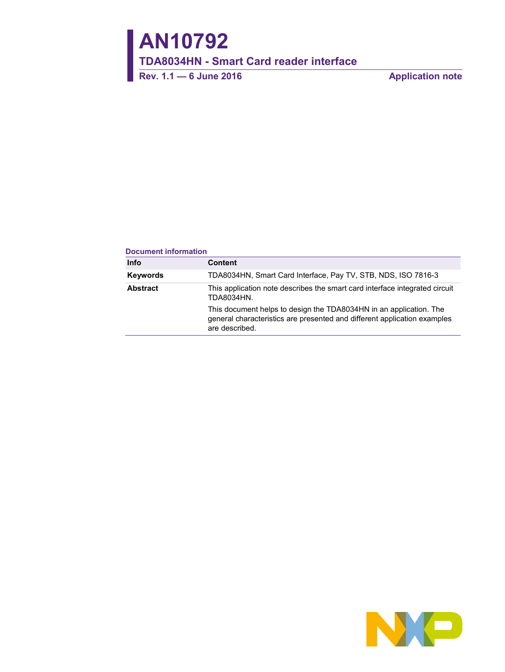# **AN10792**

**TDA8034HN - Smart Card reader interface**

**Rev. 1.1 — 6 June 2016 Application note** 

#### **Document information**

| <b>Info</b>     | <b>Content</b>                                                                                                                                                   |
|-----------------|------------------------------------------------------------------------------------------------------------------------------------------------------------------|
| <b>Keywords</b> | TDA8034HN, Smart Card Interface, Pay TV, STB, NDS, ISO 7816-3                                                                                                    |
| <b>Abstract</b> | This application note describes the smart card interface integrated circuit<br>TDA8034HN.                                                                        |
|                 | This document helps to design the TDA8034HN in an application. The<br>general characteristics are presented and different application examples<br>are described. |

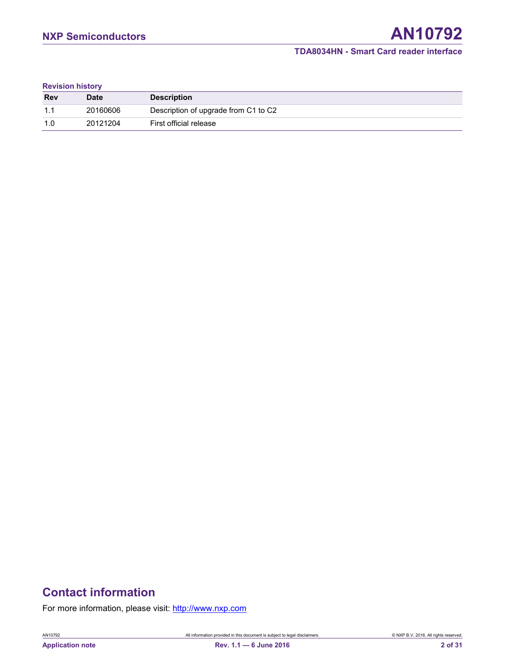#### **Revision history**

| <b>Rev</b> | Date     | <b>Description</b>                   |
|------------|----------|--------------------------------------|
| 11         | 20160606 | Description of upgrade from C1 to C2 |
| 1 በ        | 20121204 | First official release               |

## **Contact information**

For more information, please visit: [http://www.nxp.com](http://www.nxp.com/)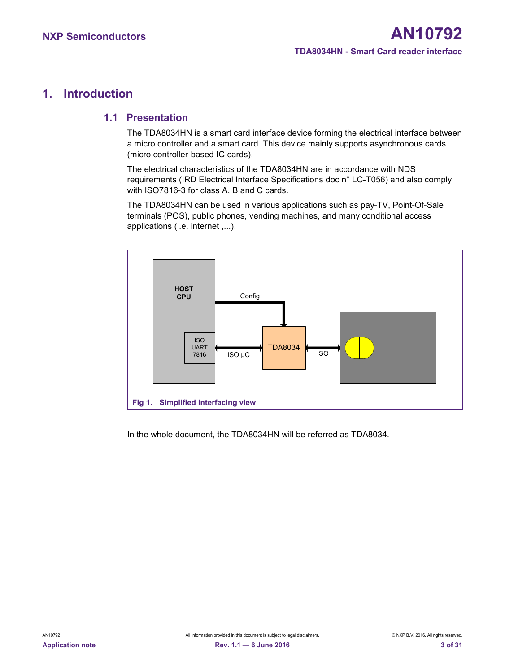## <span id="page-2-1"></span>**1. Introduction**

#### <span id="page-2-2"></span>**1.1 Presentation**

The TDA8034HN is a smart card interface device forming the electrical interface between a micro controller and a smart card. This device mainly supports asynchronous cards (micro controller-based IC cards).

The electrical characteristics of the TDA8034HN are in accordance with NDS requirements (IRD Electrical Interface Specifications doc n° LC-T056) and also comply with ISO7816-3 for class A, B and C cards.

The TDA8034HN can be used in various applications such as pay-TV, Point-Of-Sale terminals (POS), public phones, vending machines, and many conditional access applications (i.e. internet ,...).



<span id="page-2-0"></span>In the whole document, the TDA8034HN will be referred as TDA8034.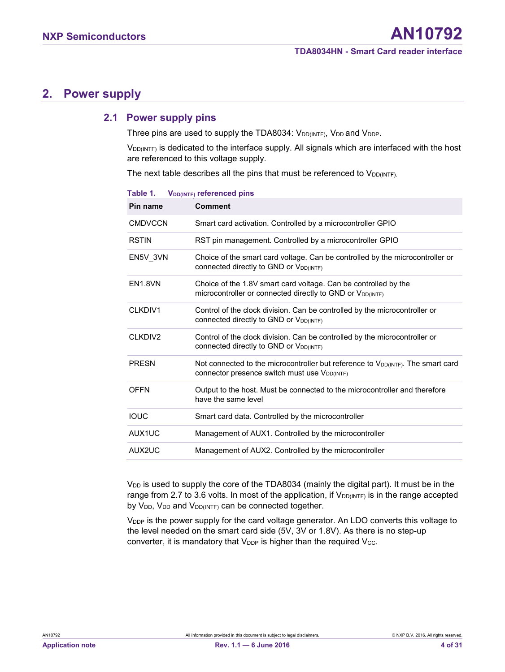## <span id="page-3-1"></span>**2. Power supply**

#### **2.1 Power supply pins**

<span id="page-3-2"></span>Three pins are used to supply the TDA8034: V<sub>DD(INTF)</sub>, V<sub>DD</sub> and V<sub>DDP</sub>.

V<sub>DD(INTF)</sub> is dedicated to the interface supply. All signals which are interfaced with the host are referenced to this voltage supply.

The next table describes all the pins that must be referenced to  $V_{DD(NTF)}$ .

| Pin name       | <b>Comment</b>                                                                                                                                    |
|----------------|---------------------------------------------------------------------------------------------------------------------------------------------------|
| <b>CMDVCCN</b> | Smart card activation. Controlled by a microcontroller GPIO                                                                                       |
| <b>RSTIN</b>   | RST pin management. Controlled by a microcontroller GPIO                                                                                          |
| EN5V_3VN       | Choice of the smart card voltage. Can be controlled by the microcontroller or<br>CONDECTED CONDECTIVE CONDECTIVITY                                |
| <b>EN1.8VN</b> | Choice of the 1.8V smart card voltage. Can be controlled by the<br>microcontroller or connected directly to GND or V <sub>DD(INTF)</sub>          |
| CLKDIV1        | Control of the clock division. Can be controlled by the microcontroller or<br>CONDECTED CONDECTIVE CONDECTIVITY                                   |
| CLKDIV2        | Control of the clock division. Can be controlled by the microcontroller or<br>CONDECTED CONDERTITY OF VDD(INTF)                                   |
| <b>PRESN</b>   | Not connected to the microcontroller but reference to $V_{DD(INTF)}$ . The smart card<br>connector presence switch must use V <sub>DD(INTF)</sub> |
| <b>OFFN</b>    | Output to the host. Must be connected to the microcontroller and therefore<br>have the same level                                                 |
| <b>IOUC</b>    | Smart card data. Controlled by the microcontroller                                                                                                |
| AUX1UC         | Management of AUX1. Controlled by the microcontroller                                                                                             |
| AUX2UC         | Management of AUX2. Controlled by the microcontroller                                                                                             |

<span id="page-3-0"></span>**Table 1.** V<sub>DD(INTF)</sub> referenced pins

V<sub>DD</sub> is used to supply the core of the TDA8034 (mainly the digital part). It must be in the range from 2.7 to 3.6 volts. In most of the application, if  $V_{DD(NTF)}$  is in the range accepted by V<sub>DD</sub>, V<sub>DD</sub> and V<sub>DD(INTF)</sub> can be connected together.

V<sub>DDP</sub> is the power supply for the card voltage generator. An LDO converts this voltage to the level needed on the smart card side (5V, 3V or 1.8V). As there is no step-up converter, it is mandatory that  $V_{\text{DDP}}$  is higher than the required  $V_{\text{CC}}$ .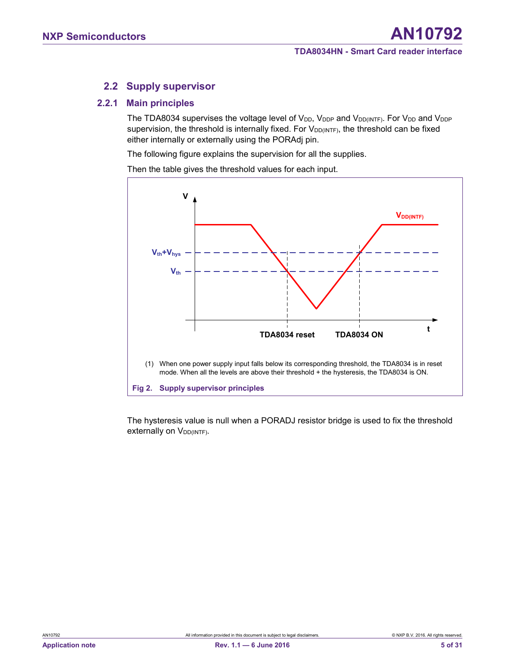#### <span id="page-4-1"></span>**2.2 Supply supervisor**

#### **2.2.1 Main principles**

<span id="page-4-2"></span>The TDA8034 supervises the voltage level of V<sub>DD</sub>, V<sub>DDP</sub> and V<sub>DD(INTF)</sub>. For V<sub>DD</sub> and V<sub>DDP</sub> supervision, the threshold is internally fixed. For  $V_{DD(INTF)}$ , the threshold can be fixed either internally or externally using the PORAdj pin.

The following figure explains the supervision for all the supplies.

Then the table gives the threshold values for each input.



<span id="page-4-0"></span>The hysteresis value is null when a PORADJ resistor bridge is used to fix the threshold externally on V<sub>DD(INTF)</sub>.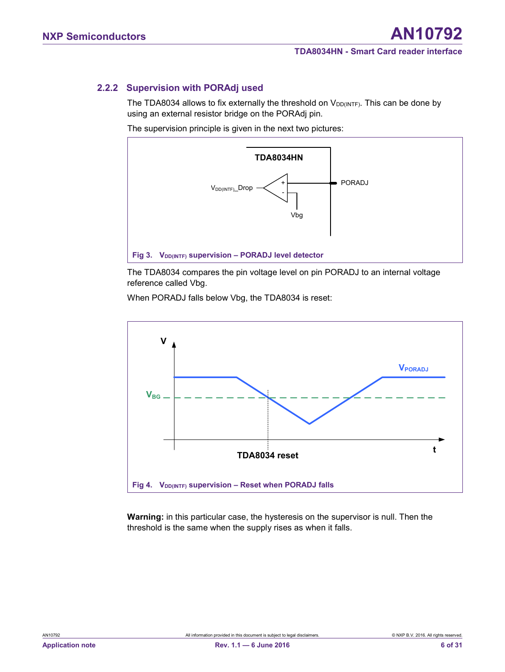#### **2.2.2 Supervision with PORAdj used**

<span id="page-5-2"></span>The TDA8034 allows to fix externally the threshold on V<sub>DD(INTF)</sub>. This can be done by using an external resistor bridge on the PORAdj pin.

The supervision principle is given in the next two pictures:



<span id="page-5-0"></span>The TDA8034 compares the pin voltage level on pin PORADJ to an internal voltage reference called Vbg.

When PORADJ falls below Vbg, the TDA8034 is reset:



<span id="page-5-1"></span>**Warning:** in this particular case, the hysteresis on the supervisor is null. Then the threshold is the same when the supply rises as when it falls.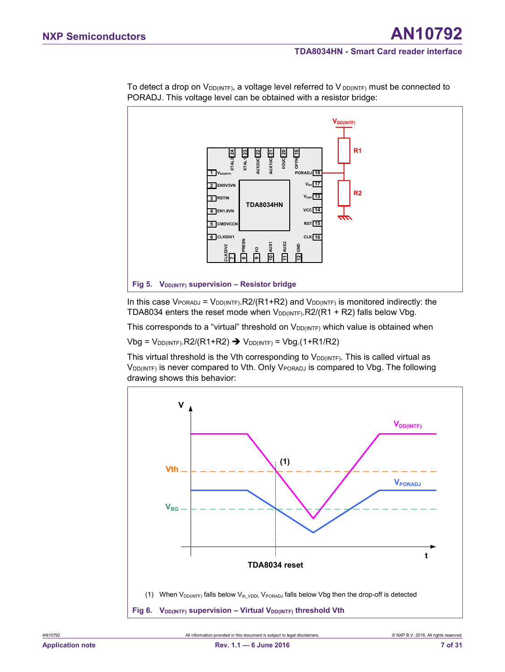

To detect a drop on  $V_{DD(iNTF)}$ , a voltage level referred to V  $_{DD(iNTF)}$  must be connected to PORADJ. This voltage level can be obtained with a resistor bridge:

<span id="page-6-0"></span>In this case  $V_{PORADJ} = V_{DD(INTER)R2/(R1+R2)$  and  $V_{DD(INTER)}$  is monitored indirectly: the TDA8034 enters the reset mode when  $V_{DD(NTF)}$ .R2/(R1 + R2) falls below Vbg.

This corresponds to a "virtual" threshold on  $V_{DD(INTF)}$  which value is obtained when

 $Vbg = V_{DD(INTF)}R2/(R1+R2)$   $\rightarrow$   $V_{DD(INTF)} = Vbg.(1+R1/R2)$ 

This virtual threshold is the Vth corresponding to  $V_{DD(NTF)}$ . This is called virtual as V<sub>DD(INTF)</sub> is never compared to Vth. Only V<sub>PORADJ</sub> is compared to Vbg. The following drawing shows this behavior:

<span id="page-6-1"></span>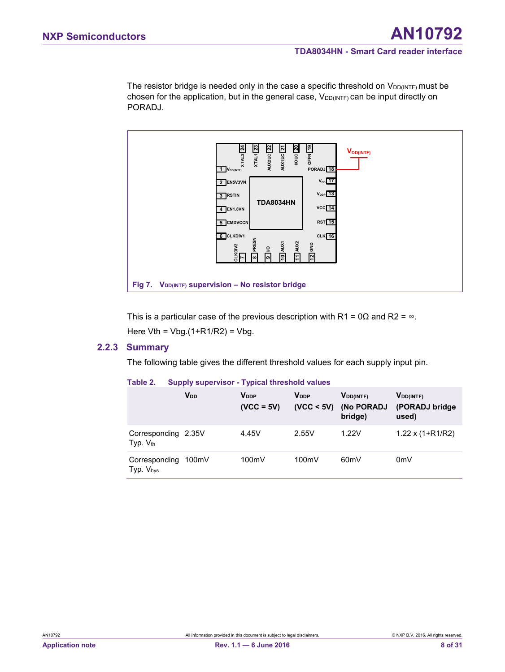The resistor bridge is needed only in the case a specific threshold on  $V_{DD(NTF)}$  must be chosen for the application, but in the general case,  $V_{DD(NTF)}$  can be input directly on PORADJ.



<span id="page-7-0"></span>This is a particular case of the previous description with R1 = 0 $\Omega$  and R2 =  $\infty$ . Here  $Vth = Vbg.(1+R1/R2) = Vbg.$ 

#### **2.2.3 Summary**

<span id="page-7-2"></span>The following table gives the different threshold values for each supply input pin.

<span id="page-7-1"></span>

|                                              | V <sub>DD</sub> | <b>V</b> <sub>DDP</sub><br>$(VCC = 5V)$ | <b>V</b> <sub>DDP</sub><br>(VCC < 5V) | $V_{DD(INTF)}$<br>(No PORADJ<br>bridge) | <b>V</b> DD(INTF)<br>(PORADJ bridge<br>used) |
|----------------------------------------------|-----------------|-----------------------------------------|---------------------------------------|-----------------------------------------|----------------------------------------------|
| Corresponding 2.35V<br>Typ. V <sub>th</sub>  |                 | 4.45V                                   | 2.55V                                 | 1.22V                                   | $1.22 \times (1 + R1/R2)$                    |
| Corresponding 100mV<br>Typ. V <sub>hys</sub> |                 | 100mV                                   | 100mV                                 | 60 <sub>m</sub> V                       | 0 <sub>m</sub>                               |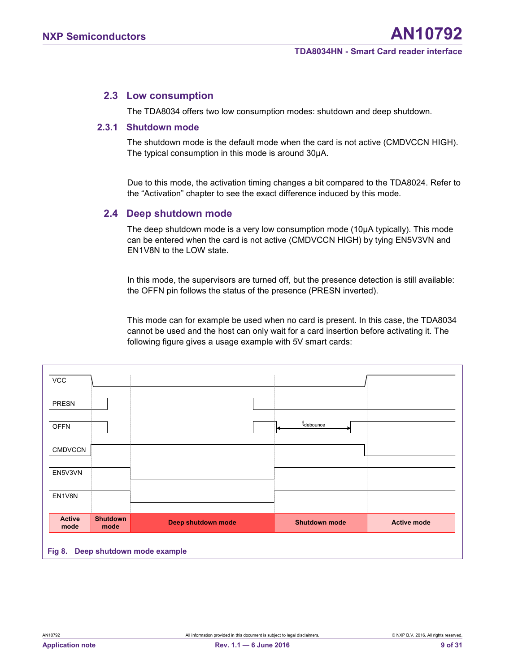#### <span id="page-8-1"></span>**2.3 Low consumption**

<span id="page-8-2"></span>The TDA8034 offers two low consumption modes: shutdown and deep shutdown.

#### **2.3.1 Shutdown mode**

The shutdown mode is the default mode when the card is not active (CMDVCCN HIGH). The typical consumption in this mode is around 30µA.

<span id="page-8-3"></span>Due to this mode, the activation timing changes a bit compared to the TDA8024. Refer to the "Activation" chapter to see the exact difference induced by this mode.

#### **2.4 Deep shutdown mode**

The deep shutdown mode is a very low consumption mode (10µA typically). This mode can be entered when the card is not active (CMDVCCN HIGH) by tying EN5V3VN and EN1V8N to the LOW state.

In this mode, the supervisors are turned off, but the presence detection is still available: the OFFN pin follows the status of the presence (PRESN inverted).

This mode can for example be used when no card is present. In this case, the TDA8034 cannot be used and the host can only wait for a card insertion before activating it. The following figure gives a usage example with 5V smart cards:

<span id="page-8-0"></span>

| <b>VCC</b>            |                         |                            |                      |                    |
|-----------------------|-------------------------|----------------------------|----------------------|--------------------|
| <b>PRESN</b>          |                         |                            |                      |                    |
| <b>OFFN</b>           |                         |                            | $t_{\rm debounce}$   |                    |
| <b>CMDVCCN</b>        |                         |                            |                      |                    |
| EN5V3VN               |                         |                            |                      |                    |
| EN1V8N                |                         |                            |                      |                    |
| <b>Active</b><br>mode | <b>Shutdown</b><br>mode | Deep shutdown mode         | <b>Shutdown mode</b> | <b>Active mode</b> |
| <b>Fig 8.</b>         |                         | Deep shutdown mode example |                      |                    |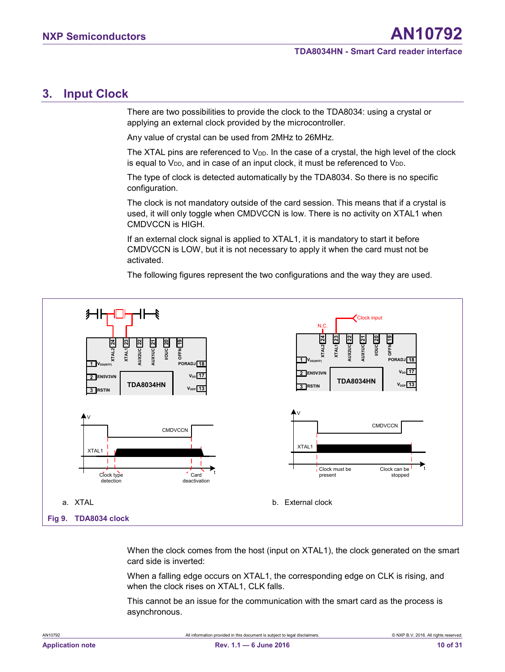## <span id="page-9-1"></span>**3. Input Clock**

There are two possibilities to provide the clock to the TDA8034: using a crystal or applying an external clock provided by the microcontroller.

Any value of crystal can be used from 2MHz to 26MHz.

The XTAL pins are referenced to  $V_{DD}$ . In the case of a crystal, the high level of the clock is equal to  $V_{DD}$ , and in case of an input clock, it must be referenced to  $V_{DD}$ .

The type of clock is detected automatically by the TDA8034. So there is no specific configuration.

The clock is not mandatory outside of the card session. This means that if a crystal is used, it will only toggle when CMDVCCN is low. There is no activity on XTAL1 when CMDVCCN is HIGH.

If an external clock signal is applied to XTAL1, it is mandatory to start it before CMDVCCN is LOW, but it is not necessary to apply it when the card must not be activated.

The following figures represent the two configurations and the way they are used.



<span id="page-9-0"></span>When the clock comes from the host (input on XTAL1), the clock generated on the smart card side is inverted:

When a falling edge occurs on XTAL1, the corresponding edge on CLK is rising, and when the clock rises on XTAL1, CLK falls.

This cannot be an issue for the communication with the smart card as the process is asynchronous.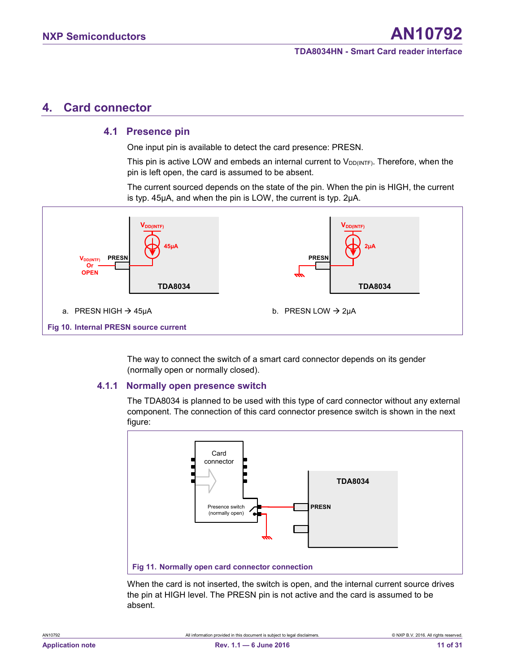## <span id="page-10-0"></span>**4. Card connector**

#### <span id="page-10-3"></span>**4.1 Presence pin**

One input pin is available to detect the card presence: PRESN.

This pin is active LOW and embeds an internal current to  $V_{DD(iNTF)}$ . Therefore, when the pin is left open, the card is assumed to be absent.

The current sourced depends on the state of the pin. When the pin is HIGH, the current is typ. 45µA, and when the pin is LOW, the current is typ. 2µA.



The way to connect the switch of a smart card connector depends on its gender (normally open or normally closed).

#### <span id="page-10-1"></span>**4.1.1 Normally open presence switch**

<span id="page-10-4"></span>The TDA8034 is planned to be used with this type of card connector without any external component. The connection of this card connector presence switch is shown in the next figure:



<span id="page-10-2"></span>When the card is not inserted, the switch is open, and the internal current source drives the pin at HIGH level. The PRESN pin is not active and the card is assumed to be absent.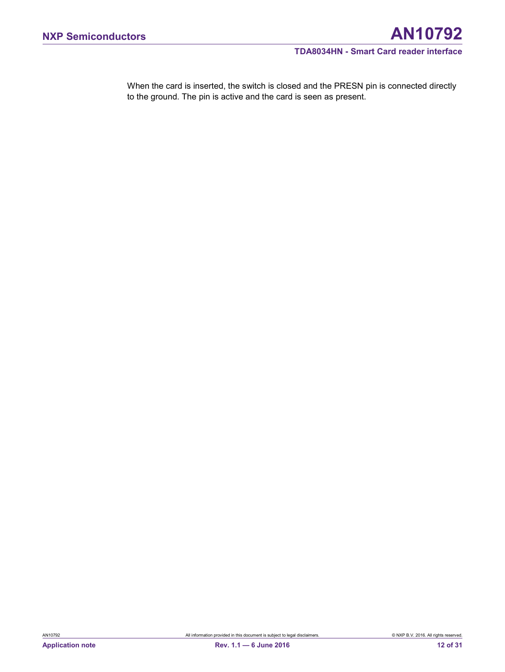When the card is inserted, the switch is closed and the PRESN pin is connected directly to the ground. The pin is active and the card is seen as present.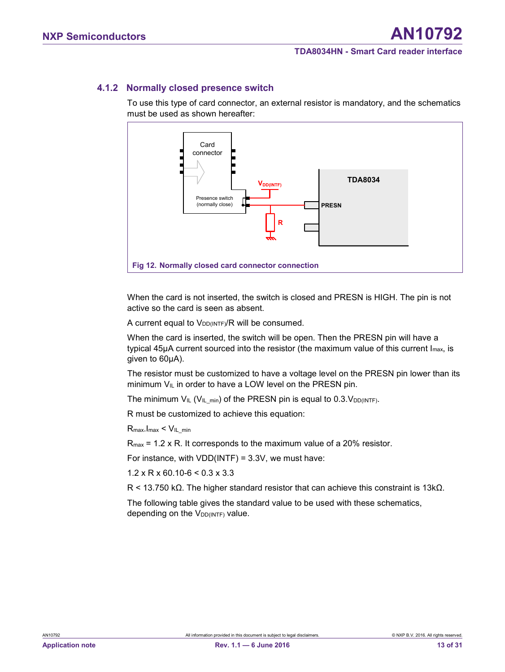### **4.1.2 Normally closed presence switch**

<span id="page-12-1"></span>To use this type of card connector, an external resistor is mandatory, and the schematics must be used as shown hereafter:



<span id="page-12-0"></span>When the card is not inserted, the switch is closed and PRESN is HIGH. The pin is not active so the card is seen as absent.

A current equal to  $V_{DD(INTF)}/R$  will be consumed.

When the card is inserted, the switch will be open. Then the PRESN pin will have a typical 45µA current sourced into the resistor (the maximum value of this current I<sub>max</sub>, is given to 60µA).

The resistor must be customized to have a voltage level on the PRESN pin lower than its minimum  $V_{IL}$  in order to have a LOW level on the PRESN pin.

The minimum  $V_{IL}$  ( $V_{IL,min}$ ) of the PRESN pin is equal to 0.3. $V_{DD(INTF)}$ .

R must be customized to achieve this equation:

 $R_{\text{max}}$ . I<sub>max</sub> <  $V_{\text{IL}}$ <sub>min</sub>

 $R_{\text{max}}$  = 1.2 x R. It corresponds to the maximum value of a 20% resistor.

For instance, with  $VDD(INTF) = 3.3V$ , we must have:

 $1.2 \times R \times 60.10 - 6 \leq 0.3 \times 3.3$ 

R < 13.750 kΩ. The higher standard resistor that can achieve this constraint is 13kΩ.

The following table gives the standard value to be used with these schematics, depending on the V<sub>DD(INTF)</sub> value.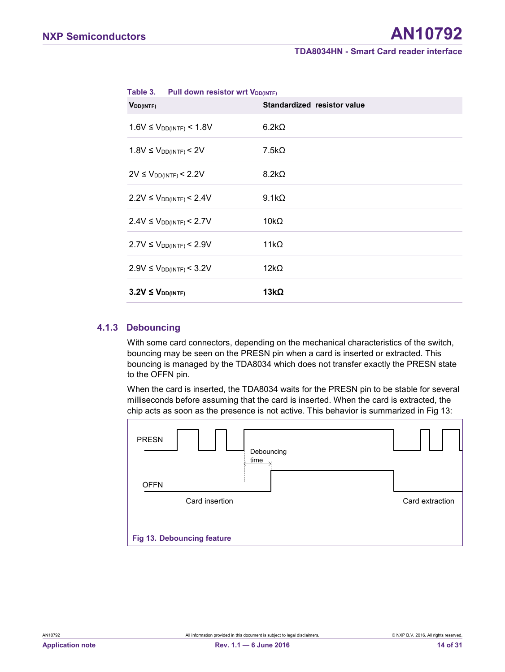| <b>V</b> DD(INTF)               | Standardized resistor value |
|---------------------------------|-----------------------------|
| $1.6V \le V_{DD(INTER)} < 1.8V$ | $6.2k\Omega$                |
| $1.8V \leq V_{DD(INTF)} < 2V$   | $7.5k\Omega$                |
| $2V \le V_{DD(INTF)} < 2.2V$    | $8.2k\Omega$                |
| $2.2V \le V_{DD(INTF)} < 2.4V$  | $9.1k\Omega$                |
| $2.4V \le V_{DD(INTER)} < 2.7V$ | $10k\Omega$                 |
| $2.7V \le V_{DD(INTF)} < 2.9V$  | 11 $k\Omega$                |
| $2.9V \le V_{DD(INTER)} < 3.2V$ | 12k $\Omega$                |
| $3.2V \leq V_{DD(INTF)}$        | 13kΩ                        |

#### <span id="page-13-1"></span>**Table 3. Pull down resistor wrt V**

#### **4.1.3 Debouncing**

<span id="page-13-2"></span>With some card connectors, depending on the mechanical characteristics of the switch, bouncing may be seen on the PRESN pin when a card is inserted or extracted. This bouncing is managed by the TDA8034 which does not transfer exactly the PRESN state to the OFFN pin.

When the card is inserted, the TDA8034 waits for the PRESN pin to be stable for several milliseconds before assuming that the card is inserted. When the card is extracted, the chip acts as soon as the presence is not active. This behavior is summarized in [Fig 13:](#page-13-0)

<span id="page-13-0"></span>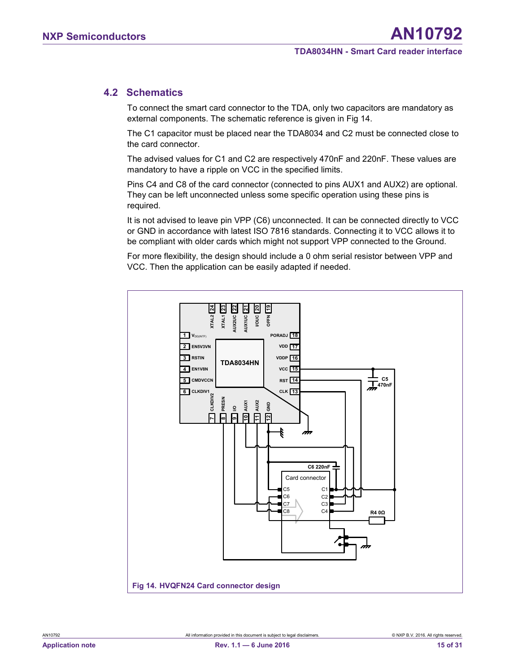### <span id="page-14-1"></span>**4.2 Schematics**

To connect the smart card connector to the TDA, only two capacitors are mandatory as external components. The schematic reference is given in [Fig 14.](#page-14-0)

The C1 capacitor must be placed near the TDA8034 and C2 must be connected close to the card connector.

The advised values for C1 and C2 are respectively 470nF and 220nF. These values are mandatory to have a ripple on VCC in the specified limits.

Pins C4 and C8 of the card connector (connected to pins AUX1 and AUX2) are optional. They can be left unconnected unless some specific operation using these pins is required.

It is not advised to leave pin VPP (C6) unconnected. It can be connected directly to VCC or GND in accordance with latest ISO 7816 standards. Connecting it to VCC allows it to be compliant with older cards which might not support VPP connected to the Ground.

For more flexibility, the design should include a 0 ohm serial resistor between VPP and VCC. Then the application can be easily adapted if needed.

<span id="page-14-0"></span>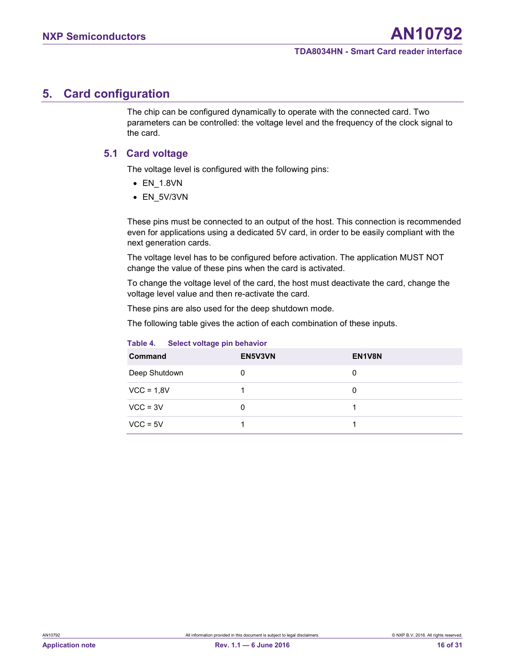## <span id="page-15-1"></span>**5. Card configuration**

The chip can be configured dynamically to operate with the connected card. Two parameters can be controlled: the voltage level and the frequency of the clock signal to the card.

#### <span id="page-15-2"></span>**5.1 Card voltage**

The voltage level is configured with the following pins:

- EN\_1.8VN
- EN\_5V/3VN

These pins must be connected to an output of the host. This connection is recommended even for applications using a dedicated 5V card, in order to be easily compliant with the next generation cards.

The voltage level has to be configured before activation. The application MUST NOT change the value of these pins when the card is activated.

To change the voltage level of the card, the host must deactivate the card, change the voltage level value and then re-activate the card.

These pins are also used for the deep shutdown mode.

The following table gives the action of each combination of these inputs.

| Command       | EN5V3VN | EN1V8N |
|---------------|---------|--------|
| Deep Shutdown |         |        |
| $VCC = 1,8V$  |         |        |
| $VCC = 3V$    | 0       |        |
| $VCC = 5V$    |         |        |

#### <span id="page-15-0"></span>**Table 4. Select voltage pin behavior**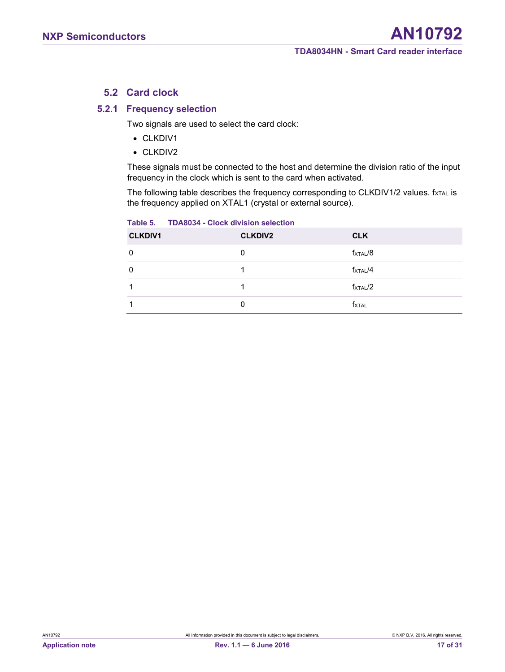### <span id="page-16-1"></span>**5.2 Card clock**

#### **5.2.1 Frequency selection**

<span id="page-16-2"></span>Two signals are used to select the card clock:

- CLKDIV1
- CLKDIV2

These signals must be connected to the host and determine the division ratio of the input frequency in the clock which is sent to the card when activated.

The following table describes the frequency corresponding to CLKDIV1/2 values.  $f_{XTAL}$  is the frequency applied on XTAL1 (crystal or external source).

| <b>CLKDIV1</b> | <b>CLKDIV2</b> | <b>CLK</b>          |
|----------------|----------------|---------------------|
|                |                | $f_{\text{XTAL}}/8$ |
|                |                | $f_{\text{XTAL}}/4$ |
|                |                | $f_{\text{XTAL}}/2$ |
|                | Ü              | <b>f</b> xtal       |

#### <span id="page-16-0"></span>**Table 5. TDA8034 - Clock division selection**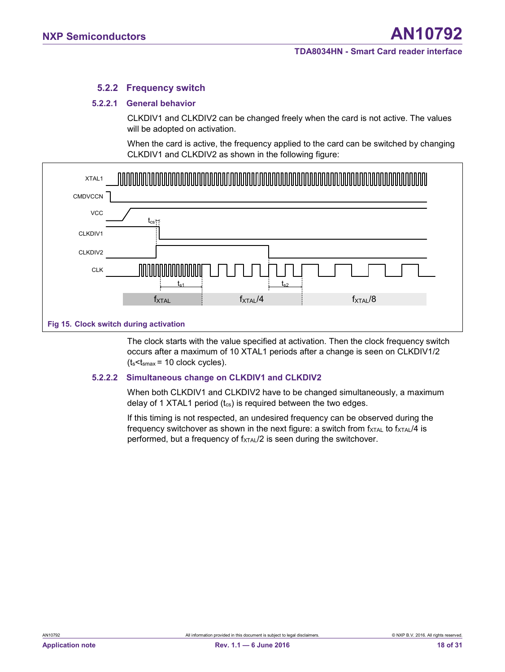#### <span id="page-17-1"></span>**5.2.2 Frequency switch**

#### **5.2.2.1 General behavior**

<span id="page-17-2"></span>CLKDIV1 and CLKDIV2 can be changed freely when the card is not active. The values will be adopted on activation.

When the card is active, the frequency applied to the card can be switched by changing CLKDIV1 and CLKDIV2 as shown in the following figure:



The clock starts with the value specified at activation. Then the clock frequency switch occurs after a maximum of 10 XTAL1 periods after a change is seen on CLKDIV1/2  $(t<sub>s</sub> < t<sub>smax</sub> = 10$  clock cycles).

#### <span id="page-17-0"></span>**5.2.2.2 Simultaneous change on CLKDIV1 and CLKDIV2**

<span id="page-17-3"></span>When both CLKDIV1 and CLKDIV2 have to be changed simultaneously, a maximum delay of 1 XTAL1 period  $(t_{cs})$  is required between the two edges.

If this timing is not respected, an undesired frequency can be observed during the frequency switchover as shown in the next figure: a switch from  $f_{\text{XTAL}}$  to  $f_{\text{XTAL}}/4$  is performed, but a frequency of  $f_{\text{XTAL}}/2$  is seen during the switchover.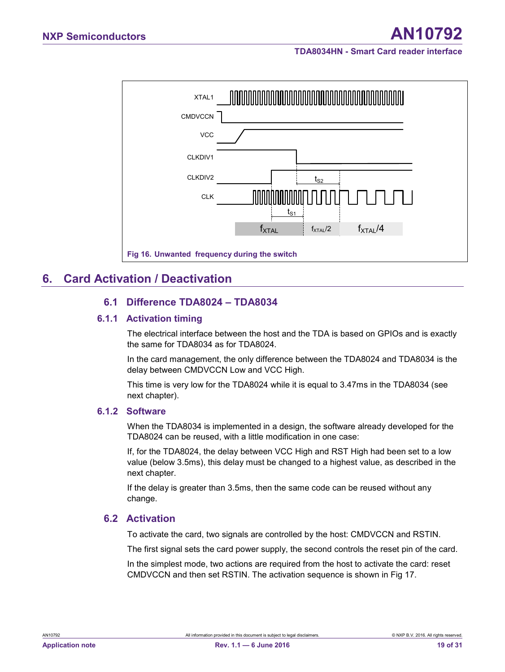

## <span id="page-18-1"></span>**6. Card Activation / Deactivation**

#### <span id="page-18-2"></span><span id="page-18-0"></span>**6.1 Difference TDA8024 – TDA8034**

#### **6.1.1 Activation timing**

<span id="page-18-3"></span>The electrical interface between the host and the TDA is based on GPIOs and is exactly the same for TDA8034 as for TDA8024.

In the card management, the only difference between the TDA8024 and TDA8034 is the delay between CMDVCCN Low and VCC High.

This time is very low for the TDA8024 while it is equal to 3.47ms in the TDA8034 (see next chapter).

#### **6.1.2 Software**

<span id="page-18-4"></span>When the TDA8034 is implemented in a design, the software already developed for the TDA8024 can be reused, with a little modification in one case:

If, for the TDA8024, the delay between VCC High and RST High had been set to a low value (below 3.5ms), this delay must be changed to a highest value, as described in the next chapter.

If the delay is greater than 3.5ms, then the same code can be reused without any change.

#### <span id="page-18-5"></span>**6.2 Activation**

To activate the card, two signals are controlled by the host: CMDVCCN and RSTIN.

The first signal sets the card power supply, the second controls the reset pin of the card.

In the simplest mode, two actions are required from the host to activate the card: reset CMDVCCN and then set RSTIN. The activation sequence is shown in [Fig 17.](#page-19-0)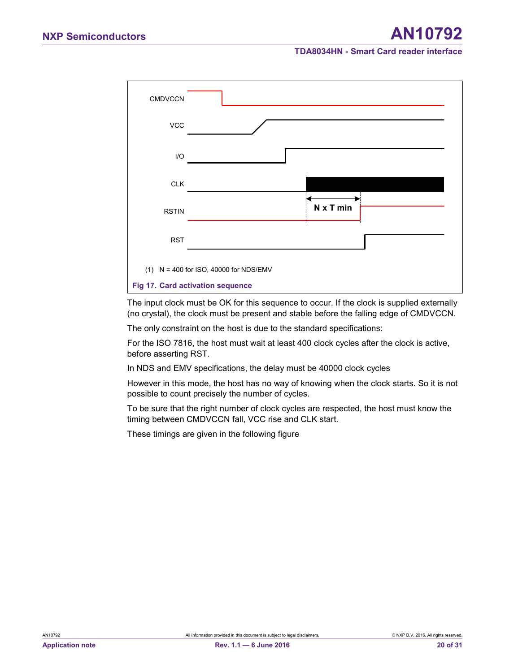

<span id="page-19-0"></span>The input clock must be OK for this sequence to occur. If the clock is supplied externally (no crystal), the clock must be present and stable before the falling edge of CMDVCCN.

The only constraint on the host is due to the standard specifications:

For the ISO 7816, the host must wait at least 400 clock cycles after the clock is active, before asserting RST.

In NDS and EMV specifications, the delay must be 40000 clock cycles

However in this mode, the host has no way of knowing when the clock starts. So it is not possible to count precisely the number of cycles.

To be sure that the right number of clock cycles are respected, the host must know the timing between CMDVCCN fall, VCC rise and CLK start.

These timings are given in the following figure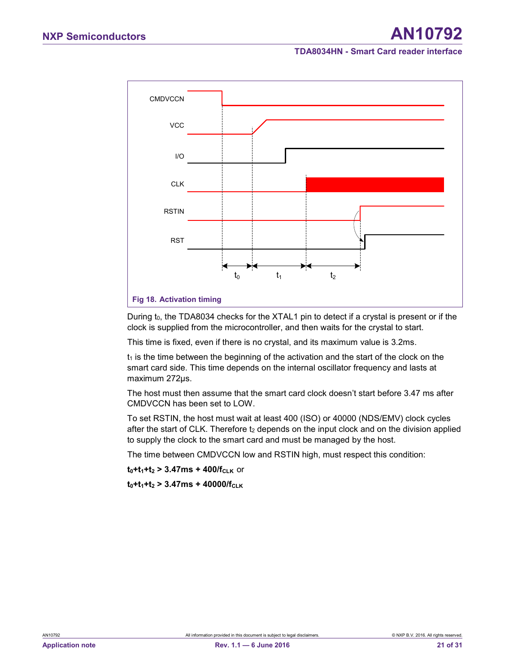

<span id="page-20-0"></span>During to, the TDA8034 checks for the XTAL1 pin to detect if a crystal is present or if the clock is supplied from the microcontroller, and then waits for the crystal to start.

This time is fixed, even if there is no crystal, and its maximum value is 3.2ms.

 $t_1$  is the time between the beginning of the activation and the start of the clock on the smart card side. This time depends on the internal oscillator frequency and lasts at maximum 272µs.

The host must then assume that the smart card clock doesn't start before 3.47 ms after CMDVCCN has been set to LOW.

To set RSTIN, the host must wait at least 400 (ISO) or 40000 (NDS/EMV) clock cycles after the start of CLK. Therefore  $t_2$  depends on the input clock and on the division applied to supply the clock to the smart card and must be managed by the host.

The time between CMDVCCN low and RSTIN high, must respect this condition:

 $t_0 + t_1 + t_2 > 3.47$  ms + 400/ $f_{CLK}$  or

 $t_0 + t_1 + t_2 > 3.47$  ms + 40000/ $f_{\text{CLE}}$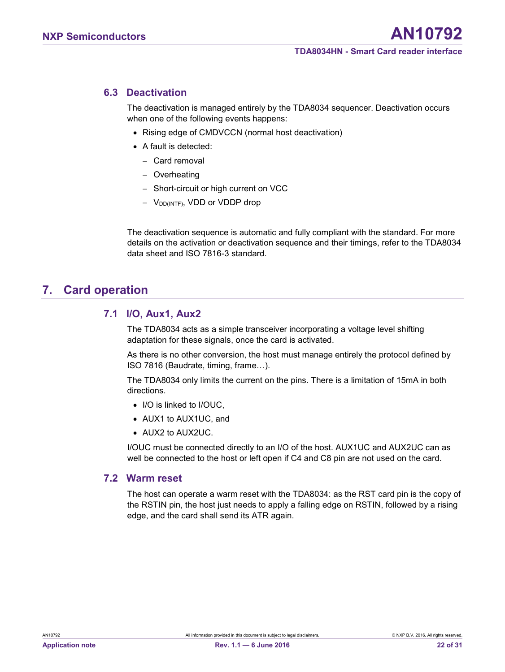### <span id="page-21-0"></span>**6.3 Deactivation**

The deactivation is managed entirely by the TDA8034 sequencer. Deactivation occurs when one of the following events happens:

- Rising edge of CMDVCCN (normal host deactivation)
- A fault is detected:
	- − Card removal
	- − Overheating
	- − Short-circuit or high current on VCC
	- − VDD(INTF), VDD or VDDP drop

The deactivation sequence is automatic and fully compliant with the standard. For more details on the activation or deactivation sequence and their timings, refer to the TDA8034 data sheet and ISO 7816-3 standard.

## <span id="page-21-1"></span>**7. Card operation**

#### <span id="page-21-2"></span>**7.1 I/O, Aux1, Aux2**

The TDA8034 acts as a simple transceiver incorporating a voltage level shifting adaptation for these signals, once the card is activated.

As there is no other conversion, the host must manage entirely the protocol defined by ISO 7816 (Baudrate, timing, frame…).

The TDA8034 only limits the current on the pins. There is a limitation of 15mA in both directions.

- I/O is linked to I/OUC,
- AUX1 to AUX1UC, and
- AUX2 to AUX2UC.

I/OUC must be connected directly to an I/O of the host. AUX1UC and AUX2UC can as well be connected to the host or left open if C4 and C8 pin are not used on the card.

#### <span id="page-21-3"></span>**7.2 Warm reset**

The host can operate a warm reset with the TDA8034: as the RST card pin is the copy of the RSTIN pin, the host just needs to apply a falling edge on RSTIN, followed by a rising edge, and the card shall send its ATR again.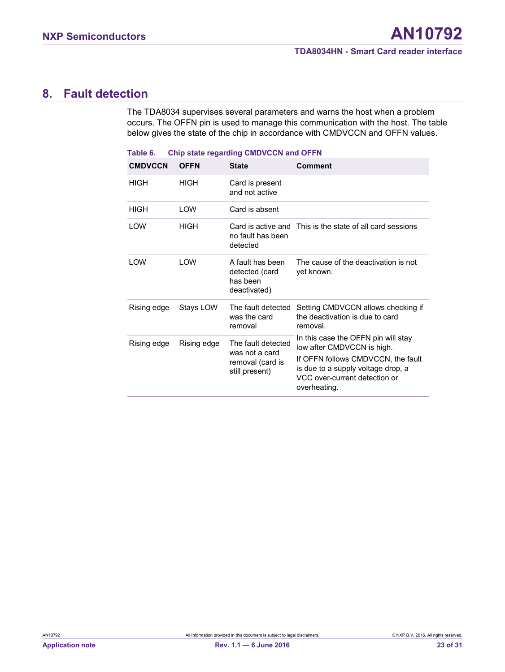## <span id="page-22-1"></span>**8. Fault detection**

The TDA8034 supervises several parameters and warns the host when a problem occurs. The OFFN pin is used to manage this communication with the host. The table below gives the state of the chip in accordance with CMDVCCN and OFFN values.

| <b>CMDVCCN</b> | <b>OFFN</b> | <b>State</b>                                                               | <b>Comment</b>                                                                                                                                                                                 |
|----------------|-------------|----------------------------------------------------------------------------|------------------------------------------------------------------------------------------------------------------------------------------------------------------------------------------------|
| <b>HIGH</b>    | <b>HIGH</b> | Card is present<br>and not active                                          |                                                                                                                                                                                                |
| <b>HIGH</b>    | LOW         | Card is absent                                                             |                                                                                                                                                                                                |
| LOW            | <b>HIGH</b> | no fault has been<br>detected                                              | Card is active and This is the state of all card sessions                                                                                                                                      |
| LOW            | LOW         | A fault has been<br>detected (card<br>has been<br>deactivated)             | The cause of the deactivation is not<br>yet known.                                                                                                                                             |
| Rising edge    | Stays LOW   | The fault detected<br>was the card<br>removal                              | Setting CMDVCCN allows checking if<br>the deactivation is due to card<br>removal.                                                                                                              |
| Rising edge    | Rising edge | The fault detected<br>was not a card<br>removal (card is<br>still present) | In this case the OFFN pin will stay<br>low after CMDVCCN is high.<br>If OFFN follows CMDVCCN, the fault<br>is due to a supply voltage drop, a<br>VCC over-current detection or<br>overheating. |

#### <span id="page-22-0"></span>**Table 6. Chip state regarding CMDVCCN and OFFN**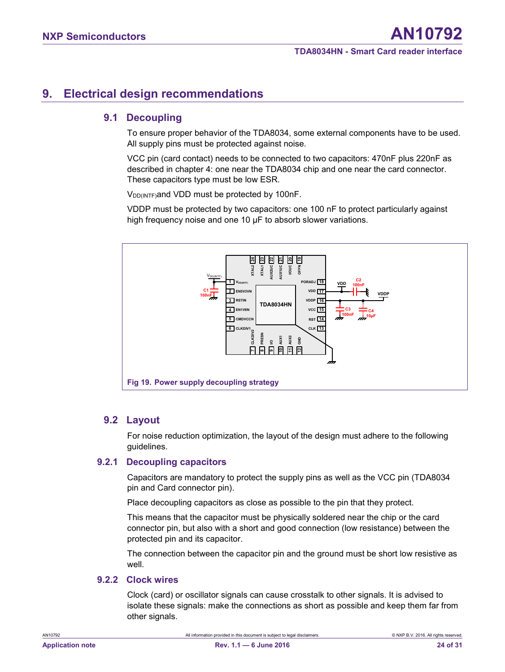## <span id="page-23-1"></span>**9. Electrical design recommendations**

#### <span id="page-23-2"></span>**9.1 Decoupling**

To ensure proper behavior of the TDA8034, some external components have to be used. All supply pins must be protected against noise.

VCC pin (card contact) needs to be connected to two capacitors: 470nF plus 220nF as described in chapter [4:](#page-10-0) one near the TDA8034 chip and one near the card connector. These capacitors type must be low ESR.

V<sub>DD(INTF)</sub>and VDD must be protected by 100nF.

VDDP must be protected by two capacitors: one 100 nF to protect particularly against high frequency noise and one 10 µF to absorb slower variations.

![](_page_23_Figure_9.jpeg)

### <span id="page-23-3"></span><span id="page-23-0"></span>**9.2 Layout**

For noise reduction optimization, the layout of the design must adhere to the following guidelines.

#### **9.2.1 Decoupling capacitors**

<span id="page-23-4"></span>Capacitors are mandatory to protect the supply pins as well as the VCC pin (TDA8034 pin and Card connector pin).

Place decoupling capacitors as close as possible to the pin that they protect.

This means that the capacitor must be physically soldered near the chip or the card connector pin, but also with a short and good connection (low resistance) between the protected pin and its capacitor.

The connection between the capacitor pin and the ground must be short low resistive as well.

#### **9.2.2 Clock wires**

<span id="page-23-5"></span>Clock (card) or oscillator signals can cause crosstalk to other signals. It is advised to isolate these signals: make the connections as short as possible and keep them far from other signals.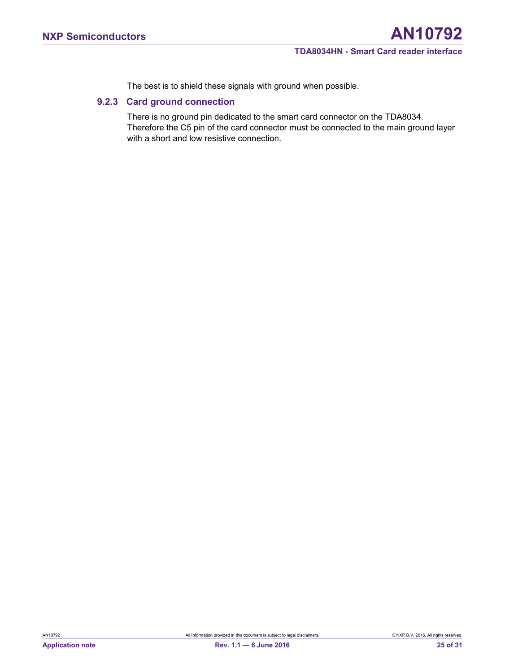<span id="page-24-0"></span>The best is to shield these signals with ground when possible.

#### **9.2.3 Card ground connection**

There is no ground pin dedicated to the smart card connector on the TDA8034. Therefore the C5 pin of the card connector must be connected to the main ground layer with a short and low resistive connection.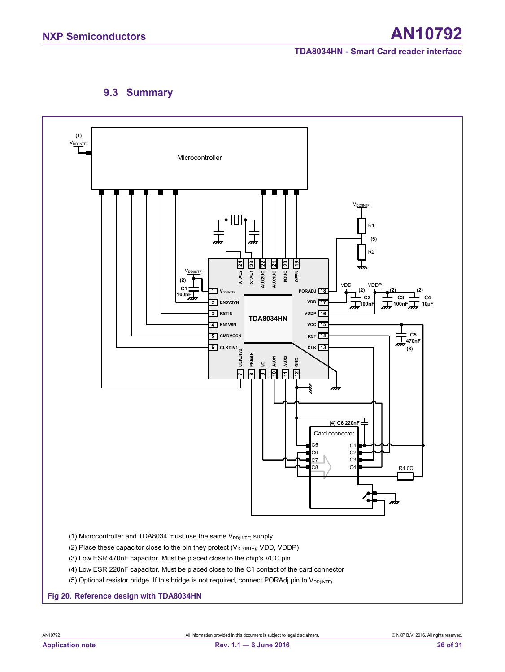## <span id="page-25-1"></span>**9.3 Summary**

<span id="page-25-0"></span>![](_page_25_Figure_4.jpeg)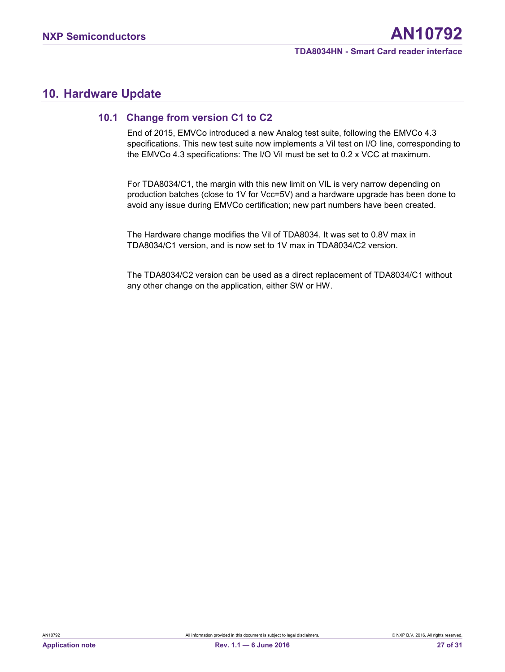## <span id="page-26-0"></span>**10. Hardware Update**

#### **10.1 Change from version C1 to C2**

<span id="page-26-1"></span>End of 2015, EMVCo introduced a new Analog test suite, following the EMVCo 4.3 specifications. This new test suite now implements a Vil test on I/O line, corresponding to the EMVCo 4.3 specifications: The I/O Vil must be set to 0.2 x VCC at maximum.

For TDA8034/C1, the margin with this new limit on VIL is very narrow depending on production batches (close to 1V for Vcc=5V) and a hardware upgrade has been done to avoid any issue during EMVCo certification; new part numbers have been created.

The Hardware change modifies the Vil of TDA8034. It was set to 0.8V max in TDA8034/C1 version, and is now set to 1V max in TDA8034/C2 version.

The TDA8034/C2 version can be used as a direct replacement of TDA8034/C1 without any other change on the application, either SW or HW.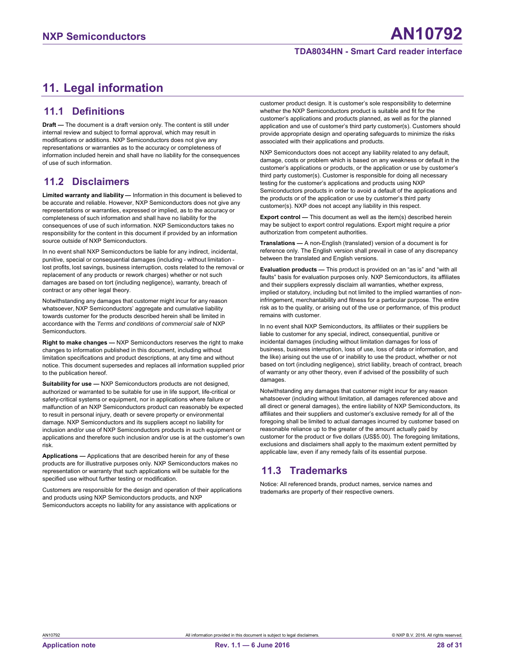## <span id="page-27-0"></span>**11. Legal information**

#### <span id="page-27-1"></span>**11.1 Definitions**

**Draft —** The document is a draft version only. The content is still under internal review and subject to formal approval, which may result in modifications or additions. NXP Semiconductors does not give any representations or warranties as to the accuracy or completeness of information included herein and shall have no liability for the consequences of use of such information.

## <span id="page-27-2"></span>**11.2 Disclaimers**

**Limited warranty and liability —** Information in this document is believed to be accurate and reliable. However, NXP Semiconductors does not give any representations or warranties, expressed or implied, as to the accuracy or completeness of such information and shall have no liability for the consequences of use of such information. NXP Semiconductors takes no responsibility for the content in this document if provided by an information source outside of NXP Semiconductors.

In no event shall NXP Semiconductors be liable for any indirect, incidental, punitive, special or consequential damages (including - without limitation lost profits, lost savings, business interruption, costs related to the removal or replacement of any products or rework charges) whether or not such damages are based on tort (including negligence), warranty, breach of contract or any other legal theory.

Notwithstanding any damages that customer might incur for any reason whatsoever, NXP Semiconductors' aggregate and cumulative liability towards customer for the products described herein shall be limited in accordance with the *Terms and conditions of commercial sale* of NXP Semiconductors.

**Right to make changes —** NXP Semiconductors reserves the right to make changes to information published in this document, including without limitation specifications and product descriptions, at any time and without notice. This document supersedes and replaces all information supplied prior to the publication hereof.

**Suitability for use —** NXP Semiconductors products are not designed, authorized or warranted to be suitable for use in life support, life-critical or safety-critical systems or equipment, nor in applications where failure or malfunction of an NXP Semiconductors product can reasonably be expected to result in personal injury, death or severe property or environmental damage. NXP Semiconductors and its suppliers accept no liability for inclusion and/or use of NXP Semiconductors products in such equipment or applications and therefore such inclusion and/or use is at the customer's own risk.

**Applications —** Applications that are described herein for any of these products are for illustrative purposes only. NXP Semiconductors makes no representation or warranty that such applications will be suitable for the specified use without further testing or modification.

Customers are responsible for the design and operation of their applications and products using NXP Semiconductors products, and NXP Semiconductors accepts no liability for any assistance with applications or

customer product design. It is customer's sole responsibility to determine whether the NXP Semiconductors product is suitable and fit for the customer's applications and products planned, as well as for the planned application and use of customer's third party customer(s). Customers should provide appropriate design and operating safeguards to minimize the risks associated with their applications and products.

NXP Semiconductors does not accept any liability related to any default, damage, costs or problem which is based on any weakness or default in the customer's applications or products, or the application or use by customer's third party customer(s). Customer is responsible for doing all necessary testing for the customer's applications and products using NXP Semiconductors products in order to avoid a default of the applications and the products or of the application or use by customer's third party customer(s). NXP does not accept any liability in this respect.

**Export control —** This document as well as the item(s) described herein may be subject to export control regulations. Export might require a prior authorization from competent authorities.

**Translations —** A non-English (translated) version of a document is for reference only. The English version shall prevail in case of any discrepancy between the translated and English versions.

**Evaluation products —** This product is provided on an "as is" and "with all faults" basis for evaluation purposes only. NXP Semiconductors, its affiliates and their suppliers expressly disclaim all warranties, whether express, implied or statutory, including but not limited to the implied warranties of noninfringement, merchantability and fitness for a particular purpose. The entire risk as to the quality, or arising out of the use or performance, of this product remains with customer.

In no event shall NXP Semiconductors, its affiliates or their suppliers be liable to customer for any special, indirect, consequential, punitive or incidental damages (including without limitation damages for loss of business, business interruption, loss of use, loss of data or information, and the like) arising out the use of or inability to use the product, whether or not based on tort (including negligence), strict liability, breach of contract, breach of warranty or any other theory, even if advised of the possibility of such damages

Notwithstanding any damages that customer might incur for any reason whatsoever (including without limitation, all damages referenced above and all direct or general damages), the entire liability of NXP Semiconductors, its affiliates and their suppliers and customer's exclusive remedy for all of the foregoing shall be limited to actual damages incurred by customer based on reasonable reliance up to the greater of the amount actually paid by customer for the product or five dollars (US\$5.00). The foregoing limitations, exclusions and disclaimers shall apply to the maximum extent permitted by applicable law, even if any remedy fails of its essential purpose.

### <span id="page-27-3"></span>**11.3 Trademarks**

Notice: All referenced brands, product names, service names and trademarks are property of their respective owners.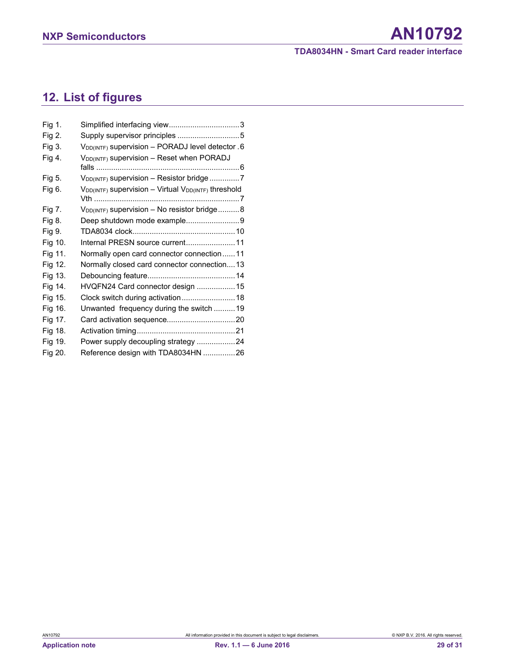## <span id="page-28-0"></span>**12. List of figures**

| V <sub>DD(INTF)</sub> supervision - Reset when PORADJ |                                                                                                                                                                                                                                                                                                                                                                                                                                                                                                                                                                                                                                                    |
|-------------------------------------------------------|----------------------------------------------------------------------------------------------------------------------------------------------------------------------------------------------------------------------------------------------------------------------------------------------------------------------------------------------------------------------------------------------------------------------------------------------------------------------------------------------------------------------------------------------------------------------------------------------------------------------------------------------------|
|                                                       |                                                                                                                                                                                                                                                                                                                                                                                                                                                                                                                                                                                                                                                    |
|                                                       |                                                                                                                                                                                                                                                                                                                                                                                                                                                                                                                                                                                                                                                    |
|                                                       |                                                                                                                                                                                                                                                                                                                                                                                                                                                                                                                                                                                                                                                    |
|                                                       |                                                                                                                                                                                                                                                                                                                                                                                                                                                                                                                                                                                                                                                    |
|                                                       |                                                                                                                                                                                                                                                                                                                                                                                                                                                                                                                                                                                                                                                    |
|                                                       |                                                                                                                                                                                                                                                                                                                                                                                                                                                                                                                                                                                                                                                    |
|                                                       |                                                                                                                                                                                                                                                                                                                                                                                                                                                                                                                                                                                                                                                    |
|                                                       |                                                                                                                                                                                                                                                                                                                                                                                                                                                                                                                                                                                                                                                    |
|                                                       |                                                                                                                                                                                                                                                                                                                                                                                                                                                                                                                                                                                                                                                    |
|                                                       |                                                                                                                                                                                                                                                                                                                                                                                                                                                                                                                                                                                                                                                    |
|                                                       |                                                                                                                                                                                                                                                                                                                                                                                                                                                                                                                                                                                                                                                    |
|                                                       |                                                                                                                                                                                                                                                                                                                                                                                                                                                                                                                                                                                                                                                    |
|                                                       |                                                                                                                                                                                                                                                                                                                                                                                                                                                                                                                                                                                                                                                    |
|                                                       |                                                                                                                                                                                                                                                                                                                                                                                                                                                                                                                                                                                                                                                    |
|                                                       |                                                                                                                                                                                                                                                                                                                                                                                                                                                                                                                                                                                                                                                    |
|                                                       |                                                                                                                                                                                                                                                                                                                                                                                                                                                                                                                                                                                                                                                    |
|                                                       |                                                                                                                                                                                                                                                                                                                                                                                                                                                                                                                                                                                                                                                    |
|                                                       | Supply supervisor principles 5<br>V <sub>DD(INTF)</sub> supervision - PORADJ level detector .6<br>V <sub>DD(INTF)</sub> supervision - Resistor bridge 7<br>$V_{DD(INTF)}$ supervision - Virtual $V_{DD(INTF)}$ threshold<br>V <sub>DD(INTF)</sub> supervision - No resistor bridge8<br>Deep shutdown mode example9<br>Internal PRESN source current11<br>Normally open card connector connection11<br>Normally closed card connector connection13<br>HVQFN24 Card connector design 15<br>Clock switch during activation 18<br>Unwanted frequency during the switch 19<br>Power supply decoupling strategy 24<br>Reference design with TDA8034HN 26 |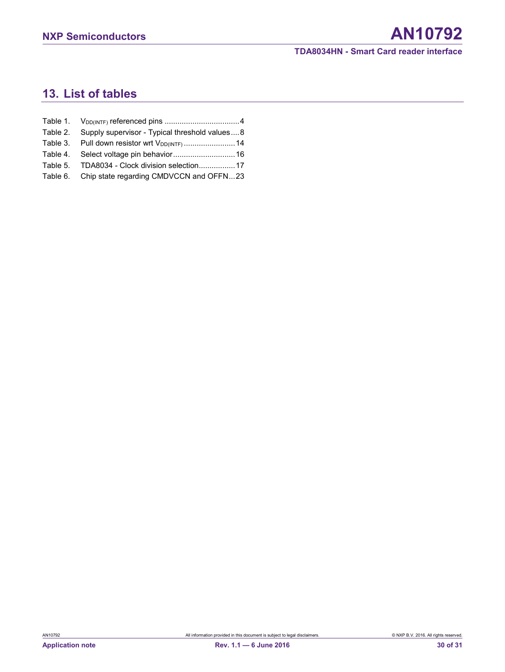## <span id="page-29-0"></span>**13. List of tables**

| Table 2. Supply supervisor - Typical threshold values8   |  |
|----------------------------------------------------------|--|
| Table 3. Pull down resistor wrt V <sub>DD(INTF)</sub> 14 |  |
|                                                          |  |
| Table 5. TDA8034 - Clock division selection 17           |  |
| Table 6. Chip state regarding CMDVCCN and OFFN23         |  |